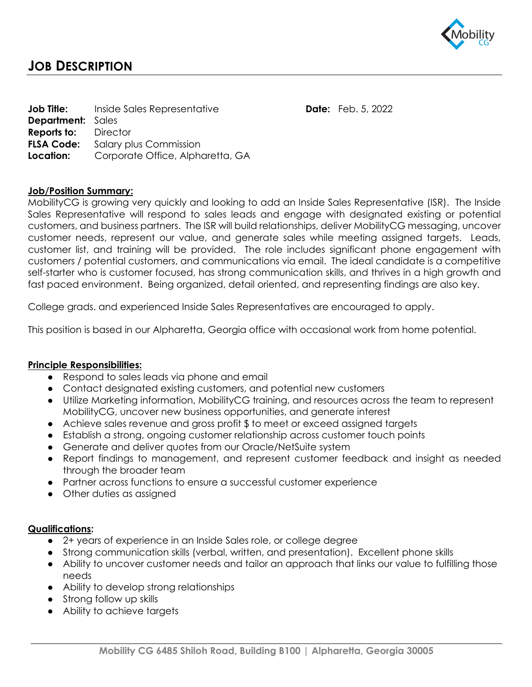

# **JOB DESCRIPTION**

|                             | <b>Job Title:</b> Inside Sales Representative     |
|-----------------------------|---------------------------------------------------|
| <b>Department:</b> Sales    |                                                   |
| <b>Reports to:</b> Director |                                                   |
| <b>FLSA Code:</b>           | Salary plus Commission                            |
|                             | <b>Location:</b> Corporate Office, Alpharetta, GA |

### **Job/Position Summary:**

MobilityCG is growing very quickly and looking to add an Inside Sales Representative (ISR). The Inside Sales Representative will respond to sales leads and engage with designated existing or potential customers, and business partners. The ISR will build relationships, deliver MobilityCG messaging, uncover customer needs, represent our value, and generate sales while meeting assigned targets. Leads, customer list, and training will be provided. The role includes significant phone engagement with customers / potential customers, and communications via email. The ideal candidate is a competitive self-starter who is customer focused, has strong communication skills, and thrives in a high growth and fast paced environment. Being organized, detail oriented, and representing findings are also key.

**Date:** Feb. 5, 2022

College grads. and experienced Inside Sales Representatives are encouraged to apply.

This position is based in our Alpharetta, Georgia office with occasional work from home potential.

#### **Principle Responsibilities:**

- Respond to sales leads via phone and email
- Contact designated existing customers, and potential new customers
- Utilize Marketing information, MobilityCG training, and resources across the team to represent MobilityCG, uncover new business opportunities, and generate interest
- Achieve sales revenue and gross profit \$ to meet or exceed assigned targets
- Establish a strong, ongoing customer relationship across customer touch points
- Generate and deliver quotes from our Oracle/NetSuite system
- Report findings to management, and represent customer feedback and insight as needed through the broader team
- Partner across functions to ensure a successful customer experience
- Other duties as assigned

#### **Qualifications:**

- 2+ years of experience in an Inside Sales role, or college degree
- Strong communication skills (verbal, written, and presentation). Excellent phone skills
- Ability to uncover customer needs and tailor an approach that links our value to fulfilling those needs
- Ability to develop strong relationships
- Strong follow up skills
- Ability to achieve targets